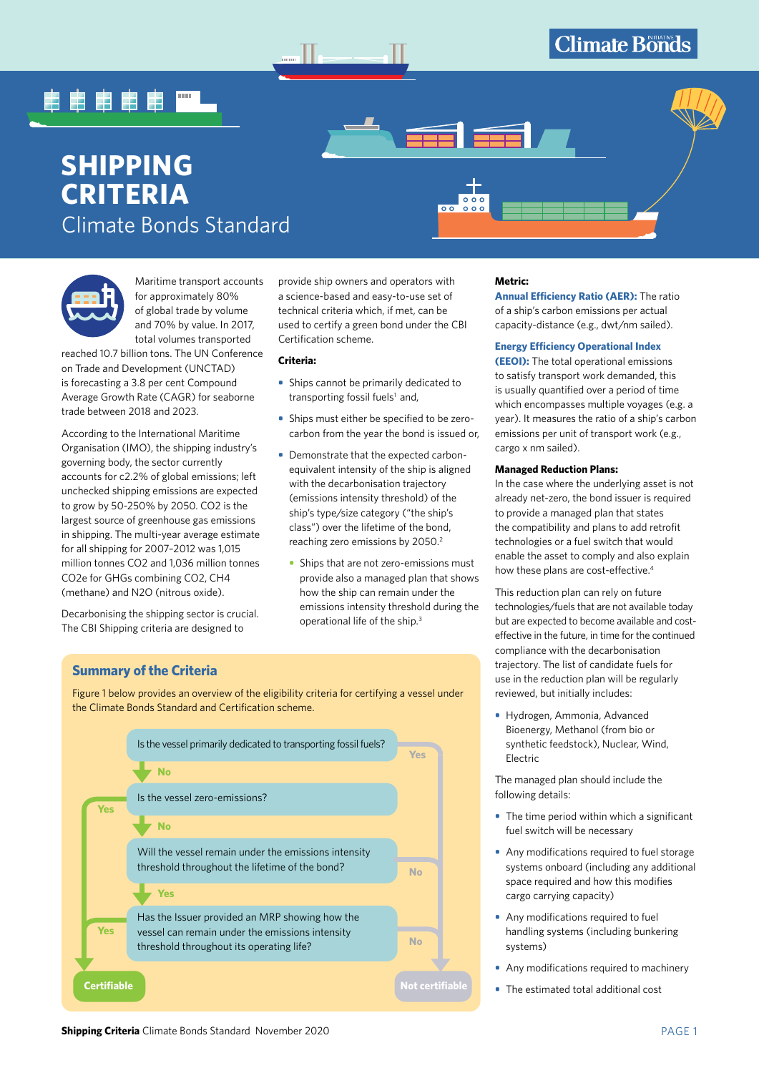# 电电电电电

# **SHIPPING CRITERIA**  Climate Bonds Standard



Maritime transport accounts for approximately 80% of global trade by volume and 70% by value. In 2017, total volumes transported

reached 10.7 billion tons. The UN Conference on Trade and Development (UNCTAD) is forecasting a 3.8 per cent Compound Average Growth Rate (CAGR) for seaborne trade between 2018 and 2023.

According to the International Maritime Organisation (IMO), the shipping industry's governing body, the sector currently accounts for c2.2% of global emissions; left unchecked shipping emissions are expected to grow by 50-250% by 2050. CO2 is the largest source of greenhouse gas emissions in shipping. The multi-year average estimate for all shipping for 2007–2012 was 1,015 million tonnes CO2 and 1,036 million tonnes CO2e for GHGs combining CO2, CH4 (methane) and N2O (nitrous oxide).

Decarbonising the shipping sector is crucial. The CBI Shipping criteria are designed to

provide ship owners and operators with a science-based and easy-to-use set of technical criteria which, if met, can be used to certify a green bond under the CBI Certification scheme.

## **Criteria:**

- **•** Ships cannot be primarily dedicated to transporting fossil fuels<sup>1</sup> and,
- **•** Ships must either be specified to be zerocarbon from the year the bond is issued or,
- **•** Demonstrate that the expected carbonequivalent intensity of the ship is aligned with the decarbonisation trajectory (emissions intensity threshold) of the ship's type/size category ("the ship's class") over the lifetime of the bond, reaching zero emissions by 2050.<sup>2</sup>
	- **•** Ships that are not zero-emissions must provide also a managed plan that shows how the ship can remain under the emissions intensity threshold during the operational life of the ship.3

## **Metric:**

 $\circ$  $\overline{\circ}$ 

> **Annual Efficiency Ratio (AER):** The ratio of a ship's carbon emissions per actual capacity-distance (e.g., dwt/nm sailed).

## **Energy Efficiency Operational Index**

**(EEOI):** The total operational emissions to satisfy transport work demanded, this is usually quantified over a period of time which encompasses multiple voyages (e.g. a year). It measures the ratio of a ship's carbon emissions per unit of transport work (e.g., cargo x nm sailed).

#### **Managed Reduction Plans:**

In the case where the underlying asset is not already net-zero, the bond issuer is required to provide a managed plan that states the compatibility and plans to add retrofit technologies or a fuel switch that would enable the asset to comply and also explain how these plans are cost-effective.<sup>4</sup>

This reduction plan can rely on future technologies/fuels that are not available today but are expected to become available and costeffective in the future, in time for the continued compliance with the decarbonisation trajectory. The list of candidate fuels for use in the reduction plan will be regularly reviewed, but initially includes:

**•** Hydrogen, Ammonia, Advanced Bioenergy, Methanol (from bio or synthetic feedstock), Nuclear, Wind, Electric

The managed plan should include the following details:

- **•** The time period within which a significant fuel switch will be necessary
- **•** Any modifications required to fuel storage systems onboard (including any additional space required and how this modifies cargo carrying capacity)
- **•** Any modifications required to fuel handling systems (including bunkering systems)
- **•** Any modifications required to machinery
- **•** The estimated total additional cost

## **Summary of the Criteria**

Figure 1 below provides an overview of the eligibility criteria for certifying a vessel under the Climate Bonds Standard and Certification scheme.

|                    | Is the vessel primarily dedicated to transporting fossil fuels?                                        | <b>Yes</b>      |  |
|--------------------|--------------------------------------------------------------------------------------------------------|-----------------|--|
|                    | <b>No</b>                                                                                              |                 |  |
| <b>Yes</b>         | Is the vessel zero-emissions?                                                                          |                 |  |
|                    | <b>No</b>                                                                                              |                 |  |
|                    | Will the vessel remain under the emissions intensity<br>threshold throughout the lifetime of the bond? | <b>No</b>       |  |
|                    | <b>Yes</b>                                                                                             |                 |  |
| <b>Yes</b>         | Has the Issuer provided an MRP showing how the<br>vessel can remain under the emissions intensity      |                 |  |
|                    | threshold throughout its operating life?                                                               | <b>No</b>       |  |
| <b>Certifiable</b> |                                                                                                        | Not certifiable |  |